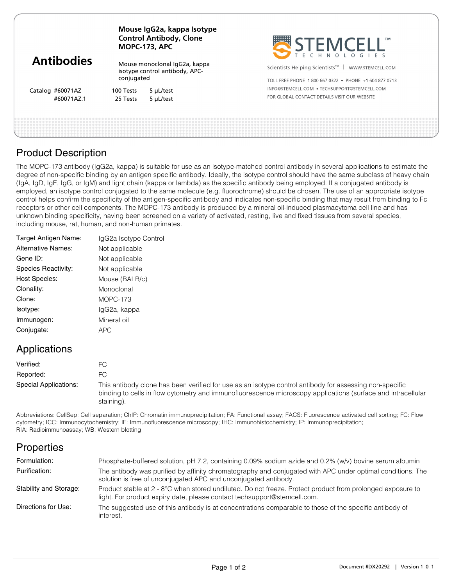| <b>Antibodies</b> | Mouse IgG2a, kappa Isotype<br><b>Control Antibody, Clone</b><br><b>MOPC-173, APC</b> |           | SEEMCELL                                                         |  |
|-------------------|--------------------------------------------------------------------------------------|-----------|------------------------------------------------------------------|--|
|                   | Mouse monoclonal IgG2a, kappa<br>isotype control antibody, APC-                      |           | Scientists Helping Scientists <sup>™</sup>  <br>WWW.STEMCELL.COM |  |
|                   | conjugated                                                                           |           | TOLL FREE PHONE 1800 667 0322 . PHONE +1 604 877 0713            |  |
| Catalog #60071AZ  | 100 Tests                                                                            | 5 µL/test | INFO@STEMCELL.COM • TECHSUPPORT@STEMCELL.COM                     |  |
| #60071AZ.1        | 25 Tests                                                                             | 5 µL/test | FOR GLOBAL CONTACT DETAILS VISIT OUR WEBSITE                     |  |
|                   |                                                                                      |           |                                                                  |  |
|                   |                                                                                      |           |                                                                  |  |

## Product Description

The MOPC-173 antibody (IgG2a, kappa) is suitable for use as an isotype-matched control antibody in several applications to estimate the degree of non-specific binding by an antigen specific antibody. Ideally, the isotype control should have the same subclass of heavy chain (IgA, IgD, IgE, IgG, or IgM) and light chain (kappa or lambda) as the specific antibody being employed. If a conjugated antibody is employed, an isotype control conjugated to the same molecule (e.g. fluorochrome) should be chosen. The use of an appropriate isotype control helps confirm the specificity of the antigen-specific antibody and indicates non-specific binding that may result from binding to Fc receptors or other cell components. The MOPC-173 antibody is produced by a mineral oil-induced plasmacytoma cell line and has unknown binding specificity, having been screened on a variety of activated, resting, live and fixed tissues from several species, including mouse, rat, human, and non-human primates.

| Target Antigen Name:      | IgG2a Isotype Control |
|---------------------------|-----------------------|
| <b>Alternative Names:</b> | Not applicable        |
| Gene ID:                  | Not applicable        |
| Species Reactivity:       | Not applicable        |
| <b>Host Species:</b>      | Mouse (BALB/c)        |
| Clonality:                | Monoclonal            |
| Clone:                    | MOPC-173              |
| Isotype:                  | IgG2a, kappa          |
| Immunogen:                | Mineral oil           |
| Conjugate:                | APC                   |
|                           |                       |

## Applications

| Verified:             |                                                                                                                                                                                                                                       |
|-----------------------|---------------------------------------------------------------------------------------------------------------------------------------------------------------------------------------------------------------------------------------|
| Reported:             |                                                                                                                                                                                                                                       |
| Special Applications: | This antibody clone has been verified for use as an isotype control antibody for assessing non-specific<br>binding to cells in flow cytometry and immunofluorescence microscopy applications (surface and intracellular<br>staining). |

Abbreviations: CellSep: Cell separation; ChIP: Chromatin immunoprecipitation; FA: Functional assay; FACS: Fluorescence activated cell sorting; FC: Flow cytometry; ICC: Immunocytochemistry; IF: Immunofluorescence microscopy; IHC: Immunohistochemistry; IP: Immunoprecipitation; RIA: Radioimmunoassay; WB: Western blotting

# **Properties**

| Formulation:           | Phosphate-buffered solution, pH 7.2, containing 0.09% sodium azide and 0.2% (w/v) bovine serum albumin                                                                                 |
|------------------------|----------------------------------------------------------------------------------------------------------------------------------------------------------------------------------------|
| Purification:          | The antibody was purified by affinity chromatography and conjugated with APC under optimal conditions. The<br>solution is free of unconjugated APC and unconjugated antibody.          |
| Stability and Storage: | Product stable at 2 - 8°C when stored undiluted. Do not freeze. Protect product from prolonged exposure to<br>light. For product expiry date, please contact techsupport@stemcell.com. |
| Directions for Use:    | The suggested use of this antibody is at concentrations comparable to those of the specific antibody of<br>interest.                                                                   |